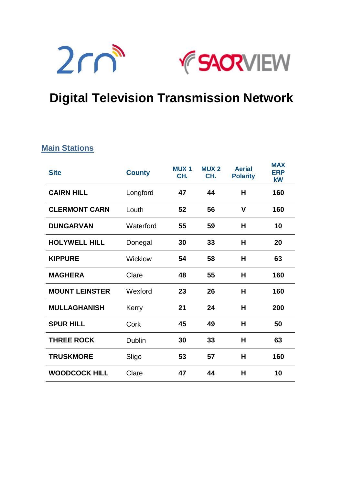



# **Digital Television Transmission Network**

### **Main Stations**

| <b>Site</b>           | <b>County</b> | <b>MUX1</b><br>CH. | <b>MUX2</b><br>CH. | <b>Aerial</b><br><b>Polarity</b> | <b>MAX</b><br><b>ERP</b><br>kW |
|-----------------------|---------------|--------------------|--------------------|----------------------------------|--------------------------------|
| <b>CAIRN HILL</b>     | Longford      | 47                 | 44                 | н                                | 160                            |
| <b>CLERMONT CARN</b>  | Louth         | 52                 | 56                 | V                                | 160                            |
| <b>DUNGARVAN</b>      | Waterford     | 55                 | 59                 | Н                                | 10                             |
| <b>HOLYWELL HILL</b>  | Donegal       | 30                 | 33                 | н                                | 20                             |
| <b>KIPPURE</b>        | Wicklow       | 54                 | 58                 | н                                | 63                             |
| <b>MAGHERA</b>        | Clare         | 48                 | 55                 | н                                | 160                            |
| <b>MOUNT LEINSTER</b> | Wexford       | 23                 | 26                 | H                                | 160                            |
| <b>MULLAGHANISH</b>   | Kerry         | 21                 | 24                 | H                                | 200                            |
| <b>SPUR HILL</b>      | Cork          | 45                 | 49                 | н                                | 50                             |
| <b>THREE ROCK</b>     | <b>Dublin</b> | 30                 | 33                 | н                                | 63                             |
| <b>TRUSKMORE</b>      | Sligo         | 53                 | 57                 | Н                                | 160                            |
| <b>WOODCOCK HILL</b>  | Clare         | 47                 | 44                 | н                                | 10                             |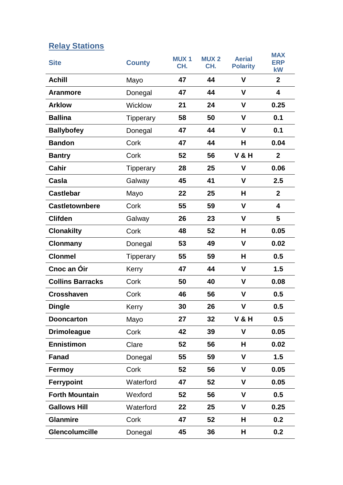# **Relay Stations**

| <b>Site</b>             | <b>County</b>    | <b>MUX1</b><br>CH. | <b>MUX2</b><br>CH. | <b>Aerial</b><br><b>Polarity</b> | <b>MAX</b><br><b>ERP</b><br>kW |
|-------------------------|------------------|--------------------|--------------------|----------------------------------|--------------------------------|
| <b>Achill</b>           | Mayo             | 47                 | 44                 | V                                | $\mathbf{2}$                   |
| <b>Aranmore</b>         | Donegal          | 47                 | 44                 | V                                | 4                              |
| <b>Arklow</b>           | Wicklow          | 21                 | 24                 | V                                | 0.25                           |
| <b>Ballina</b>          | <b>Tipperary</b> | 58                 | 50                 | V                                | 0.1                            |
| <b>Ballybofey</b>       | Donegal          | 47                 | 44                 | V                                | 0.1                            |
| <b>Bandon</b>           | Cork             | 47                 | 44                 | H                                | 0.04                           |
| <b>Bantry</b>           | Cork             | 52                 | 56                 | <b>V &amp; H</b>                 | $\mathbf{2}$                   |
| <b>Cahir</b>            | <b>Tipperary</b> | 28                 | 25                 | V                                | 0.06                           |
| Casla                   | Galway           | 45                 | 41                 | V                                | 2.5                            |
| <b>Castlebar</b>        | Mayo             | 22                 | 25                 | н                                | $\overline{2}$                 |
| <b>Castletownbere</b>   | Cork             | 55                 | 59                 | V                                | $\overline{\mathbf{4}}$        |
| <b>Clifden</b>          | Galway           | 26                 | 23                 | V                                | 5                              |
| <b>Clonakilty</b>       | Cork             | 48                 | 52                 | H                                | 0.05                           |
| <b>Clonmany</b>         | Donegal          | 53                 | 49                 | V                                | 0.02                           |
| <b>Clonmel</b>          | <b>Tipperary</b> | 55                 | 59                 | H                                | 0.5                            |
| Cnoc an Oir             | Kerry            | 47                 | 44                 | V                                | 1.5                            |
| <b>Collins Barracks</b> | Cork             | 50                 | 40                 | V                                | 0.08                           |
| <b>Crosshaven</b>       | Cork             | 46                 | 56                 | V                                | 0.5                            |
| <b>Dingle</b>           | Kerry            | 30                 | 26                 | V                                | 0.5                            |
| <b>Dooncarton</b>       | Mayo             | 27                 | 32                 | <b>V&amp;H</b>                   | 0.5                            |
| <b>Drimoleague</b>      | Cork             | 42                 | 39                 | V                                | 0.05                           |
| <b>Ennistimon</b>       | Clare            | 52                 | 56                 | н                                | 0.02                           |
| Fanad                   | Donegal          | 55                 | 59                 | $\mathbf v$                      | 1.5                            |
| Fermoy                  | Cork             | 52                 | 56                 | V                                | 0.05                           |
| Ferrypoint              | Waterford        | 47                 | 52                 | V                                | 0.05                           |
| <b>Forth Mountain</b>   | Wexford          | 52                 | 56                 | V                                | 0.5                            |
| <b>Gallows Hill</b>     | Waterford        | 22                 | 25                 | V                                | 0.25                           |
| <b>Glanmire</b>         | Cork             | 47                 | 52                 | H                                | 0.2                            |
| <b>Glencolumcille</b>   | Donegal          | 45                 | 36                 | н                                | 0.2                            |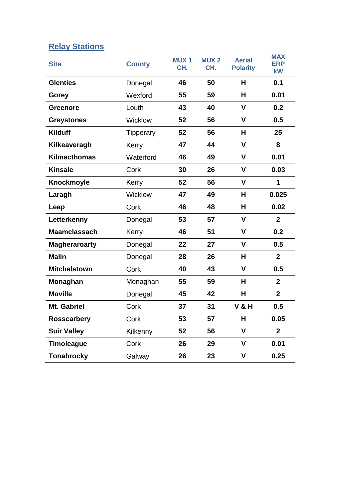## **Relay Stations**

| <b>Site</b>          | <b>County</b>    | <b>MUX1</b><br>CH. | <b>MUX2</b><br>CH. | <b>Aerial</b><br><b>Polarity</b> | <b>MAX</b><br><b>ERP</b><br>kW |
|----------------------|------------------|--------------------|--------------------|----------------------------------|--------------------------------|
| <b>Glenties</b>      | Donegal          | 46                 | 50                 | H                                | 0.1                            |
| Gorey                | Wexford          | 55                 | 59                 | H                                | 0.01                           |
| <b>Greenore</b>      | Louth            | 43                 | 40                 | $\mathbf v$                      | 0.2                            |
| <b>Greystones</b>    | Wicklow          | 52                 | 56                 | $\mathbf v$                      | 0.5                            |
| <b>Kilduff</b>       | <b>Tipperary</b> | 52                 | 56                 | н                                | 25                             |
| Kilkeaveragh         | Kerry            | 47                 | 44                 | $\mathbf v$                      | 8                              |
| <b>Kilmacthomas</b>  | Waterford        | 46                 | 49                 | V                                | 0.01                           |
| <b>Kinsale</b>       | Cork             | 30                 | 26                 | V                                | 0.03                           |
| Knockmoyle           | Kerry            | 52                 | 56                 | $\mathbf v$                      | 1                              |
| Laragh               | Wicklow          | 47                 | 49                 | н                                | 0.025                          |
| Leap                 | Cork             | 46                 | 48                 | H                                | 0.02                           |
| Letterkenny          | Donegal          | 53                 | 57                 | V                                | $\mathbf{2}$                   |
| <b>Maamclassach</b>  | Kerry            | 46                 | 51                 | V                                | 0.2                            |
| <b>Magheraroarty</b> | Donegal          | 22                 | 27                 | V                                | 0.5                            |
| <b>Malin</b>         | Donegal          | 28                 | 26                 | н                                | $\mathbf{2}$                   |
| <b>Mitchelstown</b>  | Cork             | 40                 | 43                 | $\mathbf v$                      | 0.5                            |
| Monaghan             | Monaghan         | 55                 | 59                 | H                                | $\mathbf{2}$                   |
| <b>Moville</b>       | Donegal          | 45                 | 42                 | H                                | $\overline{2}$                 |
| Mt. Gabriel          | Cork             | 37                 | 31                 | <b>V &amp; H</b>                 | 0.5                            |
| <b>Rosscarbery</b>   | Cork             | 53                 | 57                 | H                                | 0.05                           |
| <b>Suir Valley</b>   | Kilkenny         | 52                 | 56                 | $\mathbf v$                      | $\overline{2}$                 |
| <b>Timoleague</b>    | Cork             | 26                 | 29                 | V                                | 0.01                           |
| <b>Tonabrocky</b>    | Galway           | 26                 | 23                 | V                                | 0.25                           |